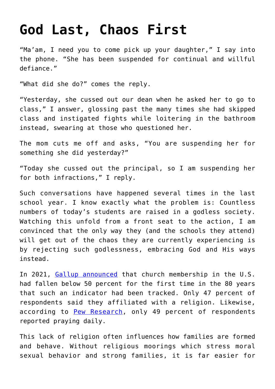## **[God Last, Chaos First](https://intellectualtakeout.org/2022/03/god-last-chaos-first/)**

"Ma'am, I need you to come pick up your daughter," I say into the phone. "She has been suspended for continual and willful defiance."

"What did she do?" comes the reply.

"Yesterday, she cussed out our dean when he asked her to go to class," I answer, glossing past the many times she had skipped class and instigated fights while loitering in the bathroom instead, swearing at those who questioned her.

The mom cuts me off and asks, "You are suspending her for something she did yesterday?"

"Today she cussed out the principal, so I am suspending her for both infractions," I reply.

Such conversations have happened several times in the last school year. I know exactly what the problem is: Countless numbers of today's students are raised in a godless society. Watching this unfold from a front seat to the action, I am convinced that the only way they (and the schools they attend) will get out of the chaos they are currently experiencing is by rejecting such godlessness, embracing God and His ways instead.

In 2021, [Gallup announced](https://news.gallup.com/poll/341963/church-membership-falls-below-majority-first-time.aspx) that church membership in the U.S. had fallen below 50 percent for the first time in the 80 years that such an indicator had been tracked. Only 47 percent of respondents said they affiliated with a religion. Likewise, according to **Pew Research**, only 49 percent of respondents reported praying daily.

This lack of religion often influences how families are formed and behave. Without religious moorings which stress moral sexual behavior and strong families, it is far easier for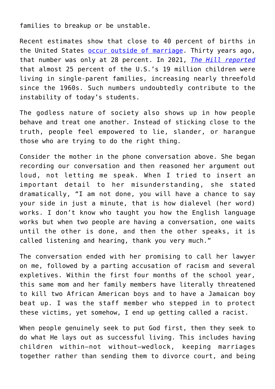families to breakup or be unstable.

Recent estimates show that close to 40 percent of births in the United States [occur outside of marriage](https://www.childtrends.org/publications/dramatic-increase-in-percentage-of-births-outside-marriage-among-whites-hispanics-and-women-with-higher-education-levels#:~:text=Recent%20estimates%20show%20that%20about,worldwide%20(Chamie%2C%202017).). Thirty years ago, that number was only at 28 percent. In 2021, *[The Hill reported](https://thehill.com/opinion/finance/543941-americas-single-parent-families)* that almost 25 percent of the U.S.'s 19 million children were living in single-parent families, increasing nearly threefold since the 1960s. Such numbers undoubtedly contribute to the instability of today's students.

The godless nature of society also shows up in how people behave and treat one another. Instead of sticking close to the truth, people feel empowered to lie, slander, or harangue those who are trying to do the right thing.

Consider the mother in the phone conversation above. She began recording our conversation and then reasoned her argument out loud, not letting me speak. When I tried to insert an important detail to her misunderstanding, she stated dramatically, "I am not done, you will have a chance to say your side in just a minute, that is how dialevel (her word) works. I don't know who taught you how the English language works but when two people are having a conversation, one waits until the other is done, and then the other speaks, it is called listening and hearing, thank you very much."

The conversation ended with her promising to call her lawyer on me, followed by a parting accusation of racism and several expletives. Within the first four months of the school year, this same mom and her family members have literally threatened to kill two African American boys and to have a Jamaican boy beat up. I was the staff member who stepped in to protect these victims, yet somehow, I end up getting called a racist.

When people genuinely seek to put God first, then they seek to do what He lays out as successful living. This includes having children within—not without—wedlock, keeping marriages together rather than sending them to divorce court, and being